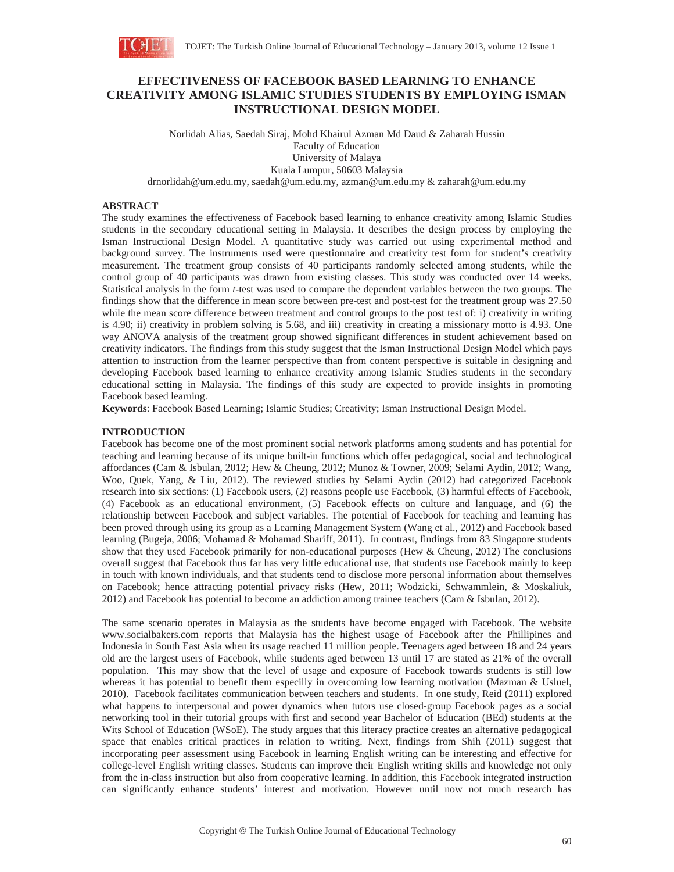

# **EFFECTIVENESS OF FACEBOOK BASED LEARNING TO ENHANCE CREATIVITY AMONG ISLAMIC STUDIES STUDENTS BY EMPLOYING ISMAN INSTRUCTIONAL DESIGN MODEL**

Norlidah Alias, Saedah Siraj, Mohd Khairul Azman Md Daud & Zaharah Hussin Faculty of Education University of Malaya Kuala Lumpur, 50603 Malaysia drnorlidah@um.edu.my, saedah@um.edu.my, azman@um.edu.my & zaharah@um.edu.my

# **ABSTRACT**

The study examines the effectiveness of Facebook based learning to enhance creativity among Islamic Studies students in the secondary educational setting in Malaysia. It describes the design process by employing the Isman Instructional Design Model. A quantitative study was carried out using experimental method and background survey. The instruments used were questionnaire and creativity test form for student's creativity measurement. The treatment group consists of 40 participants randomly selected among students, while the control group of 40 participants was drawn from existing classes. This study was conducted over 14 weeks. Statistical analysis in the form *t*-test was used to compare the dependent variables between the two groups. The findings show that the difference in mean score between pre-test and post-test for the treatment group was 27.50 while the mean score difference between treatment and control groups to the post test of: i) creativity in writing is 4.90; ii) creativity in problem solving is 5.68, and iii) creativity in creating a missionary motto is 4.93. One way ANOVA analysis of the treatment group showed significant differences in student achievement based on creativity indicators. The findings from this study suggest that the Isman Instructional Design Model which pays attention to instruction from the learner perspective than from content perspective is suitable in designing and developing Facebook based learning to enhance creativity among Islamic Studies students in the secondary educational setting in Malaysia. The findings of this study are expected to provide insights in promoting Facebook based learning.

**Keywords**: Facebook Based Learning; Islamic Studies; Creativity; Isman Instructional Design Model.

## **INTRODUCTION**

Facebook has become one of the most prominent social network platforms among students and has potential for teaching and learning because of its unique built-in functions which offer pedagogical, social and technological affordances (Cam & Isbulan, 2012; Hew & Cheung, 2012; Munoz & Towner, 2009; Selami Aydin, 2012; Wang, Woo, Quek, Yang, & Liu, 2012). The reviewed studies by Selami Aydin (2012) had categorized Facebook research into six sections: (1) Facebook users, (2) reasons people use Facebook, (3) harmful effects of Facebook, (4) Facebook as an educational environment, (5) Facebook effects on culture and language, and (6) the relationship between Facebook and subject variables. The potential of Facebook for teaching and learning has been proved through using its group as a Learning Management System (Wang et al., 2012) and Facebook based learning (Bugeja, 2006; Mohamad & Mohamad Shariff, 2011). In contrast, findings from 83 Singapore students show that they used Facebook primarily for non-educational purposes (Hew & Cheung, 2012) The conclusions overall suggest that Facebook thus far has very little educational use, that students use Facebook mainly to keep in touch with known individuals, and that students tend to disclose more personal information about themselves on Facebook; hence attracting potential privacy risks (Hew, 2011; Wodzicki, Schwammlein, & Moskaliuk, 2012) and Facebook has potential to become an addiction among trainee teachers (Cam & Isbulan, 2012).

The same scenario operates in Malaysia as the students have become engaged with Facebook. The website www.socialbakers.com reports that Malaysia has the highest usage of Facebook after the Phillipines and Indonesia in South East Asia when its usage reached 11 million people. Teenagers aged between 18 and 24 years old are the largest users of Facebook, while students aged between 13 until 17 are stated as 21% of the overall population. This may show that the level of usage and exposure of Facebook towards students is still low whereas it has potential to benefit them especilly in overcoming low learning motivation (Mazman & Usluel, 2010). Facebook facilitates communication between teachers and students. In one study, Reid (2011) explored what happens to interpersonal and power dynamics when tutors use closed-group Facebook pages as a social networking tool in their tutorial groups with first and second year Bachelor of Education (BEd) students at the Wits School of Education (WSoE). The study argues that this literacy practice creates an alternative pedagogical space that enables critical practices in relation to writing. Next, findings from Shih (2011) suggest that incorporating peer assessment using Facebook in learning English writing can be interesting and effective for college-level English writing classes. Students can improve their English writing skills and knowledge not only from the in-class instruction but also from cooperative learning. In addition, this Facebook integrated instruction can significantly enhance students' interest and motivation. However until now not much research has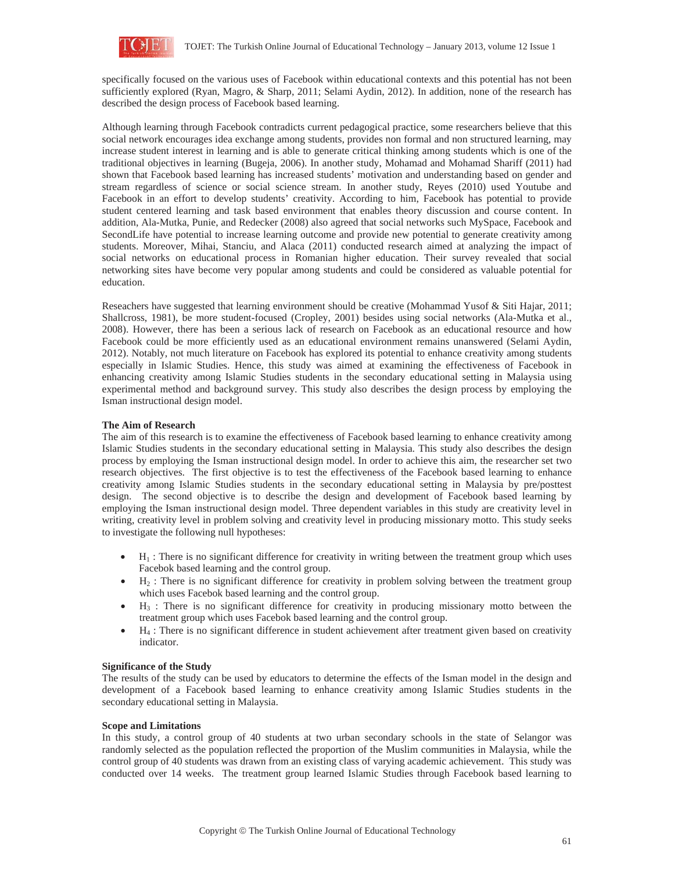

specifically focused on the various uses of Facebook within educational contexts and this potential has not been sufficiently explored (Ryan, Magro, & Sharp, 2011; Selami Aydin, 2012). In addition, none of the research has described the design process of Facebook based learning.

Although learning through Facebook contradicts current pedagogical practice, some researchers believe that this social network encourages idea exchange among students, provides non formal and non structured learning, may increase student interest in learning and is able to generate critical thinking among students which is one of the traditional objectives in learning (Bugeja, 2006). In another study, Mohamad and Mohamad Shariff (2011) had shown that Facebook based learning has increased students' motivation and understanding based on gender and stream regardless of science or social science stream. In another study, Reyes (2010) used Youtube and Facebook in an effort to develop students' creativity. According to him, Facebook has potential to provide student centered learning and task based environment that enables theory discussion and course content. In addition, Ala-Mutka, Punie, and Redecker (2008) also agreed that social networks such MySpace, Facebook and SecondLife have potential to increase learning outcome and provide new potential to generate creativity among students. Moreover, Mihai, Stanciu, and Alaca (2011) conducted research aimed at analyzing the impact of social networks on educational process in Romanian higher education. Their survey revealed that social networking sites have become very popular among students and could be considered as valuable potential for education.

Reseachers have suggested that learning environment should be creative (Mohammad Yusof & Siti Hajar, 2011; Shallcross, 1981), be more student-focused (Cropley, 2001) besides using social networks (Ala-Mutka et al., 2008). However, there has been a serious lack of research on Facebook as an educational resource and how Facebook could be more efficiently used as an educational environment remains unanswered (Selami Aydin, 2012). Notably, not much literature on Facebook has explored its potential to enhance creativity among students especially in Islamic Studies. Hence, this study was aimed at examining the effectiveness of Facebook in enhancing creativity among Islamic Studies students in the secondary educational setting in Malaysia using experimental method and background survey. This study also describes the design process by employing the Isman instructional design model.

## **The Aim of Research**

The aim of this research is to examine the effectiveness of Facebook based learning to enhance creativity among Islamic Studies students in the secondary educational setting in Malaysia. This study also describes the design process by employing the Isman instructional design model. In order to achieve this aim, the researcher set two research objectives. The first objective is to test the effectiveness of the Facebook based learning to enhance creativity among Islamic Studies students in the secondary educational setting in Malaysia by pre/posttest design. The second objective is to describe the design and development of Facebook based learning by employing the Isman instructional design model. Three dependent variables in this study are creativity level in writing, creativity level in problem solving and creativity level in producing missionary motto. This study seeks to investigate the following null hypotheses:

- $\bullet$  H<sub>1</sub>: There is no significant difference for creativity in writing between the treatment group which uses Facebok based learning and the control group.
- $\bullet$  H<sub>2</sub> : There is no significant difference for creativity in problem solving between the treatment group which uses Facebok based learning and the control group.
- $\bullet$  H<sub>3</sub> : There is no significant difference for creativity in producing missionary motto between the treatment group which uses Facebok based learning and the control group.
- $\bullet$  H<sub>4</sub> : There is no significant difference in student achievement after treatment given based on creativity indicator.

## **Significance of the Study**

The results of the study can be used by educators to determine the effects of the Isman model in the design and development of a Facebook based learning to enhance creativity among Islamic Studies students in the secondary educational setting in Malaysia.

#### **Scope and Limitations**

In this study, a control group of 40 students at two urban secondary schools in the state of Selangor was randomly selected as the population reflected the proportion of the Muslim communities in Malaysia, while the control group of 40 students was drawn from an existing class of varying academic achievement. This study was conducted over 14 weeks. The treatment group learned Islamic Studies through Facebook based learning to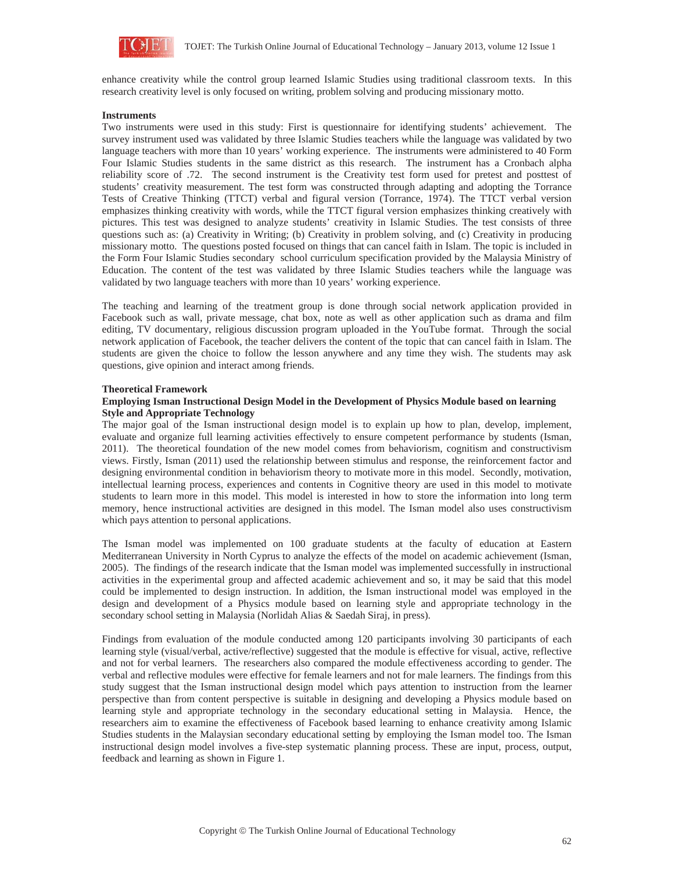

enhance creativity while the control group learned Islamic Studies using traditional classroom texts. In this research creativity level is only focused on writing, problem solving and producing missionary motto.

#### **Instruments**

Two instruments were used in this study: First is questionnaire for identifying students' achievement. The survey instrument used was validated by three Islamic Studies teachers while the language was validated by two language teachers with more than 10 years' working experience. The instruments were administered to 40 Form Four Islamic Studies students in the same district as this research. The instrument has a Cronbach alpha reliability score of .72. The second instrument is the Creativity test form used for pretest and posttest of students' creativity measurement. The test form was constructed through adapting and adopting the Torrance Tests of Creative Thinking (TTCT) verbal and figural version (Torrance, 1974). The TTCT verbal version emphasizes thinking creativity with words, while the TTCT figural version emphasizes thinking creatively with pictures. This test was designed to analyze students' creativity in Islamic Studies. The test consists of three questions such as: (a) Creativity in Writing; (b) Creativity in problem solving, and (c) Creativity in producing missionary motto. The questions posted focused on things that can cancel faith in Islam. The topic is included in the Form Four Islamic Studies secondary school curriculum specification provided by the Malaysia Ministry of Education. The content of the test was validated by three Islamic Studies teachers while the language was validated by two language teachers with more than 10 years' working experience.

The teaching and learning of the treatment group is done through social network application provided in Facebook such as wall, private message, chat box, note as well as other application such as drama and film editing, TV documentary, religious discussion program uploaded in the YouTube format. Through the social network application of Facebook, the teacher delivers the content of the topic that can cancel faith in Islam. The students are given the choice to follow the lesson anywhere and any time they wish. The students may ask questions, give opinion and interact among friends.

## **Theoretical Framework**

## **Employing Isman Instructional Design Model in the Development of Physics Module based on learning Style and Appropriate Technology**

The major goal of the Isman instructional design model is to explain up how to plan, develop, implement, evaluate and organize full learning activities effectively to ensure competent performance by students (Isman, 2011). The theoretical foundation of the new model comes from behaviorism, cognitism and constructivism views. Firstly, Isman (2011) used the relationship between stimulus and response, the reinforcement factor and designing environmental condition in behaviorism theory to motivate more in this model. Secondly, motivation, intellectual learning process, experiences and contents in Cognitive theory are used in this model to motivate students to learn more in this model. This model is interested in how to store the information into long term memory, hence instructional activities are designed in this model. The Isman model also uses constructivism which pays attention to personal applications.

The Isman model was implemented on 100 graduate students at the faculty of education at Eastern Mediterranean University in North Cyprus to analyze the effects of the model on academic achievement (Isman, 2005). The findings of the research indicate that the Isman model was implemented successfully in instructional activities in the experimental group and affected academic achievement and so, it may be said that this model could be implemented to design instruction. In addition, the Isman instructional model was employed in the design and development of a Physics module based on learning style and appropriate technology in the secondary school setting in Malaysia (Norlidah Alias & Saedah Siraj, in press).

Findings from evaluation of the module conducted among 120 participants involving 30 participants of each learning style (visual/verbal, active/reflective) suggested that the module is effective for visual, active, reflective and not for verbal learners. The researchers also compared the module effectiveness according to gender. The verbal and reflective modules were effective for female learners and not for male learners. The findings from this study suggest that the Isman instructional design model which pays attention to instruction from the learner perspective than from content perspective is suitable in designing and developing a Physics module based on learning style and appropriate technology in the secondary educational setting in Malaysia. Hence, the researchers aim to examine the effectiveness of Facebook based learning to enhance creativity among Islamic Studies students in the Malaysian secondary educational setting by employing the Isman model too. The Isman instructional design model involves a five-step systematic planning process. These are input, process, output, feedback and learning as shown in Figure 1.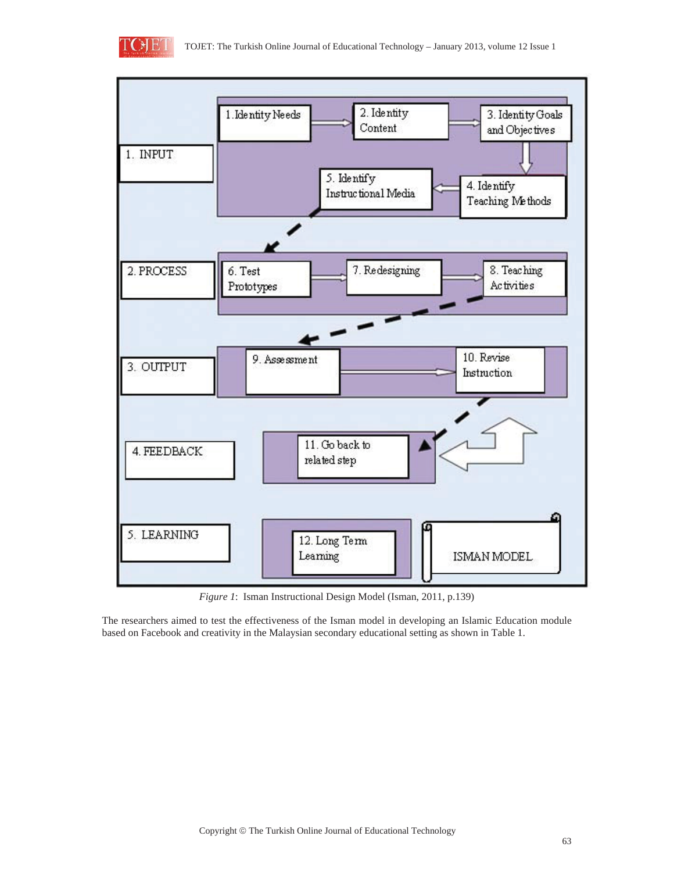



*Figure 1*: Isman Instructional Design Model (Isman, 2011, p.139)

The researchers aimed to test the effectiveness of the Isman model in developing an Islamic Education module based on Facebook and creativity in the Malaysian secondary educational setting as shown in Table 1.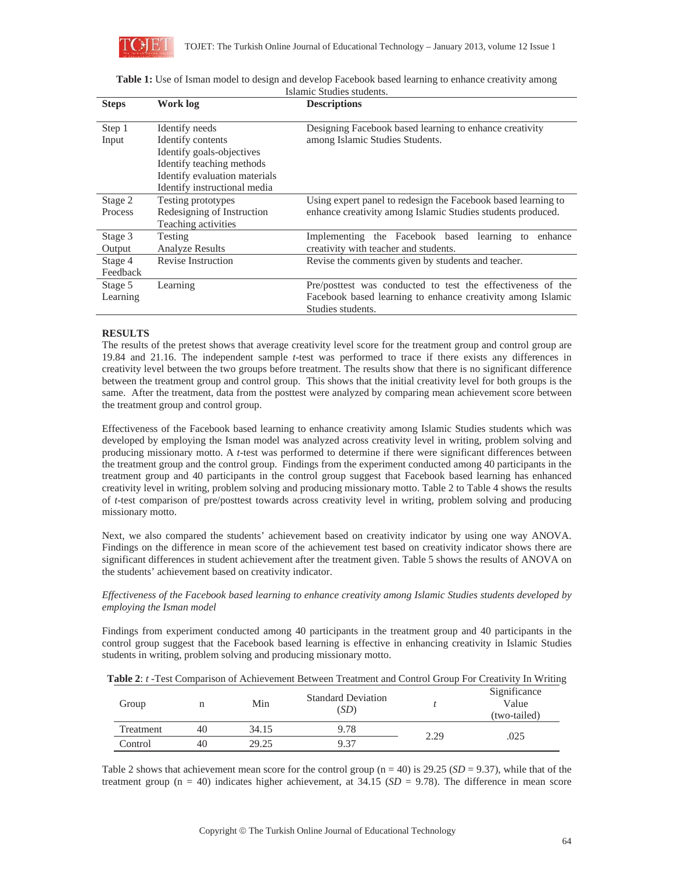

| <b>Steps</b>        | Work log                                                                                                                                                       | <b>Descriptions</b>                                                                                                                             |  |  |  |
|---------------------|----------------------------------------------------------------------------------------------------------------------------------------------------------------|-------------------------------------------------------------------------------------------------------------------------------------------------|--|--|--|
| Step 1<br>Input     | Identify needs<br>Identify contents<br>Identify goals-objectives<br>Identify teaching methods<br>Identify evaluation materials<br>Identify instructional media | Designing Facebook based learning to enhance creativity<br>among Islamic Studies Students.                                                      |  |  |  |
| Stage 2<br>Process  | Testing prototypes<br>Redesigning of Instruction<br>Teaching activities                                                                                        | Using expert panel to redesign the Facebook based learning to<br>enhance creativity among Islamic Studies students produced.                    |  |  |  |
| Stage 3<br>Output   | Testing<br><b>Analyze Results</b>                                                                                                                              | Implementing the Facebook based learning to<br>enhance<br>creativity with teacher and students.                                                 |  |  |  |
| Stage 4<br>Feedback | Revise Instruction                                                                                                                                             | Revise the comments given by students and teacher.                                                                                              |  |  |  |
| Stage 5<br>Learning | Learning                                                                                                                                                       | Pre/posttest was conducted to test the effectiveness of the<br>Facebook based learning to enhance creativity among Islamic<br>Studies students. |  |  |  |

Table 1: Use of Isman model to design and develop Facebook based learning to enhance creativity among Islamic Studies students.

# **RESULTS**

The results of the pretest shows that average creativity level score for the treatment group and control group are 19.84 and 21.16. The independent sample *t*-test was performed to trace if there exists any differences in creativity level between the two groups before treatment. The results show that there is no significant difference between the treatment group and control group. This shows that the initial creativity level for both groups is the same. After the treatment, data from the posttest were analyzed by comparing mean achievement score between the treatment group and control group.

Effectiveness of the Facebook based learning to enhance creativity among Islamic Studies students which was developed by employing the Isman model was analyzed across creativity level in writing, problem solving and producing missionary motto. A *t*-test was performed to determine if there were significant differences between the treatment group and the control group. Findings from the experiment conducted among 40 participants in the treatment group and 40 participants in the control group suggest that Facebook based learning has enhanced creativity level in writing, problem solving and producing missionary motto. Table 2 to Table 4 shows the results of *t*-test comparison of pre/posttest towards across creativity level in writing, problem solving and producing missionary motto.

Next, we also compared the students' achievement based on creativity indicator by using one way ANOVA. Findings on the difference in mean score of the achievement test based on creativity indicator shows there are significant differences in student achievement after the treatment given. Table 5 shows the results of ANOVA on the students' achievement based on creativity indicator.

*Effectiveness of the Facebook based learning to enhance creativity among Islamic Studies students developed by employing the Isman model*

Findings from experiment conducted among 40 participants in the treatment group and 40 participants in the control group suggest that the Facebook based learning is effective in enhancing creativity in Islamic Studies students in writing, problem solving and producing missionary motto.

| Group     |    | Min   | <b>Standard Deviation</b><br>(SD) |      | Significance<br>Value<br>(two-tailed) |
|-----------|----|-------|-----------------------------------|------|---------------------------------------|
| Treatment | 40 | 34.15 | 9.78                              |      |                                       |
| Control   | 40 | 29.25 | 9.37                              | 2.29 | .025                                  |

**Table 2**: *t* -Test Comparison of Achievement Between Treatment and Control Group For Creativity In Writing

Table 2 shows that achievement mean score for the control group  $(n = 40)$  is 29.25 (*SD* = 9.37), while that of the treatment group ( $n = 40$ ) indicates higher achievement, at 34.15 ( $SD = 9.78$ ). The difference in mean score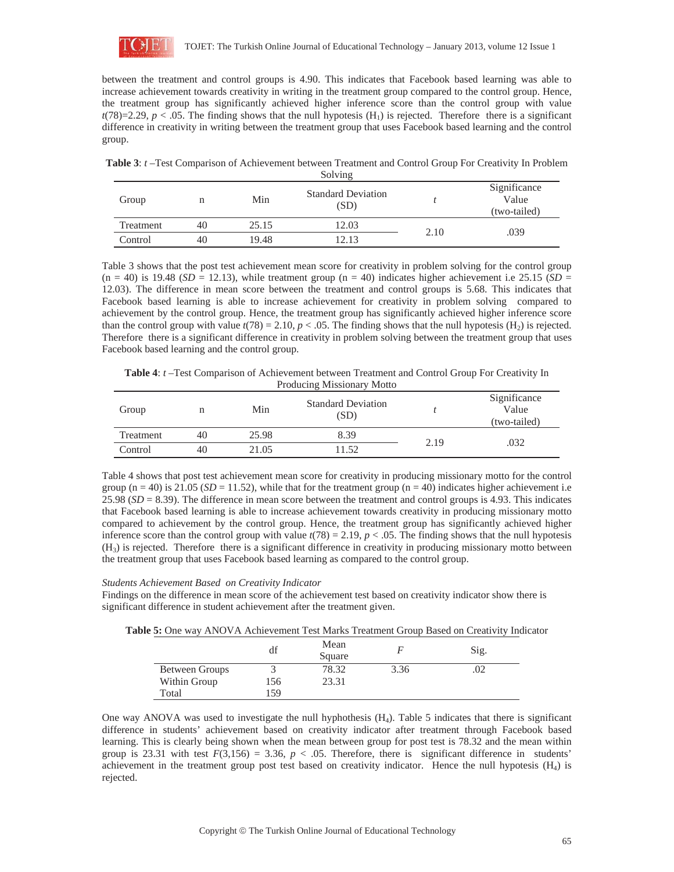

between the treatment and control groups is 4.90. This indicates that Facebook based learning was able to increase achievement towards creativity in writing in the treatment group compared to the control group. Hence, the treatment group has significantly achieved higher inference score than the control group with value  $t(78)=2.29, p < .05$ . The finding shows that the null hypotesis  $(H_1)$  is rejected. Therefore there is a significant difference in creativity in writing between the treatment group that uses Facebook based learning and the control group.

**Table 3**: *t* –Test Comparison of Achievement between Treatment and Control Group For Creativity In Problem  $S = 1$ 

|           |    |       | <b>SOIVING</b>                    |      |                                       |
|-----------|----|-------|-----------------------------------|------|---------------------------------------|
| Group     |    | Min   | <b>Standard Deviation</b><br>(SD) |      | Significance<br>Value<br>(two-tailed) |
| Treatment | 40 | 25.15 | 12.03                             | 2.10 | .039                                  |
| Control   | 40 | 19.48 | 12.13                             |      |                                       |

Table 3 shows that the post test achievement mean score for creativity in problem solving for the control group  $(n = 40)$  is 19.48 (*SD* = 12.13), while treatment group  $(n = 40)$  indicates higher achievement i.e 25.15 (*SD* = 12.03). The difference in mean score between the treatment and control groups is 5.68. This indicates that Facebook based learning is able to increase achievement for creativity in problem solving compared to achievement by the control group. Hence, the treatment group has significantly achieved higher inference score than the control group with value  $t(78) = 2.10$ ,  $p < .05$ . The finding shows that the null hypotesis (H<sub>2</sub>) is rejected. Therefore there is a significant difference in creativity in problem solving between the treatment group that uses Facebook based learning and the control group.

**Table 4**: *t* –Test Comparison of Achievement between Treatment and Control Group For Creativity In Producing Missionary Motto

| Group     |    | Min   | <b>Standard Deviation</b><br>(SD) |      | Significance<br>Value<br>(two-tailed) |
|-----------|----|-------|-----------------------------------|------|---------------------------------------|
| Treatment | 40 | 25.98 | 8.39                              | 2.19 | .032                                  |
| Control   | 40 | 21.05 | 11.52                             |      |                                       |

Table 4 shows that post test achievement mean score for creativity in producing missionary motto for the control group  $(n = 40)$  is 21.05 (*SD* = 11.52), while that for the treatment group  $(n = 40)$  indicates higher achievement i.e 25.98 (*SD* = 8.39). The difference in mean score between the treatment and control groups is 4.93. This indicates that Facebook based learning is able to increase achievement towards creativity in producing missionary motto compared to achievement by the control group. Hence, the treatment group has significantly achieved higher inference score than the control group with value  $t(78) = 2.19$ ,  $p < .05$ . The finding shows that the null hypotesis  $(H<sub>3</sub>)$  is rejected. Therefore there is a significant difference in creativity in producing missionary motto between the treatment group that uses Facebook based learning as compared to the control group.

#### *Students Achievement Based on Creativity Indicator*

Findings on the difference in mean score of the achievement test based on creativity indicator show there is significant difference in student achievement after the treatment given.

**Table 5:** One way ANOVA Achievement Test Marks Treatment Group Based on Creativity Indicator

|                       | df  | Mean<br>Square |      | Sig. |
|-----------------------|-----|----------------|------|------|
| <b>Between Groups</b> |     | 78.32          | 3.36 |      |
| Within Group          | 156 | 23.31          |      |      |
| Total                 | 159 |                |      |      |

One way ANOVA was used to investigate the null hyphothesis  $(H_4)$ . Table 5 indicates that there is significant difference in students' achievement based on creativity indicator after treatment through Facebook based learning. This is clearly being shown when the mean between group for post test is 78.32 and the mean within group is 23.31 with test  $F(3,156) = 3.36$ ,  $p < .05$ . Therefore, there is significant difference in students' achievement in the treatment group post test based on creativity indicator. Hence the null hypotesis (H4) is rejected.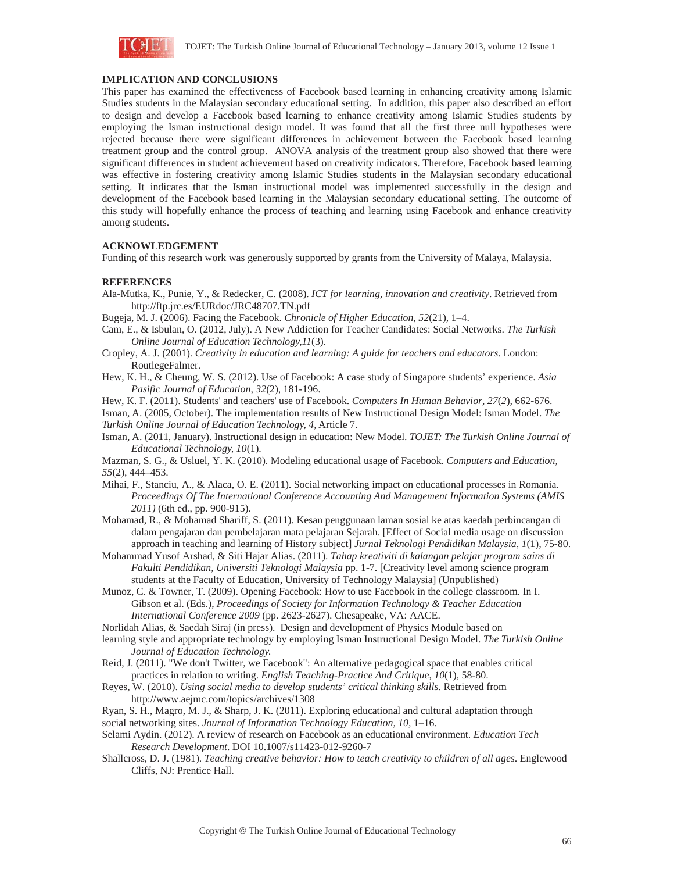

# **IMPLICATION AND CONCLUSIONS**

This paper has examined the effectiveness of Facebook based learning in enhancing creativity among Islamic Studies students in the Malaysian secondary educational setting. In addition, this paper also described an effort to design and develop a Facebook based learning to enhance creativity among Islamic Studies students by employing the Isman instructional design model. It was found that all the first three null hypotheses were rejected because there were significant differences in achievement between the Facebook based learning treatment group and the control group. ANOVA analysis of the treatment group also showed that there were significant differences in student achievement based on creativity indicators. Therefore, Facebook based learning was effective in fostering creativity among Islamic Studies students in the Malaysian secondary educational setting. It indicates that the Isman instructional model was implemented successfully in the design and development of the Facebook based learning in the Malaysian secondary educational setting. The outcome of this study will hopefully enhance the process of teaching and learning using Facebook and enhance creativity among students.

## **ACKNOWLEDGEMENT**

Funding of this research work was generously supported by grants from the University of Malaya, Malaysia.

## **REFERENCES**

- Ala-Mutka, K., Punie, Y., & Redecker, C. (2008). *ICT for learning, innovation and creativity*. Retrieved from http://ftp.jrc.es/EURdoc/JRC48707.TN.pdf
- Bugeja, M. J. (2006). Facing the Facebook. *Chronicle of Higher Education, 52*(21)*,* 1–4.
- Cam, E., & Isbulan, O. (2012, July). A New Addiction for Teacher Candidates: Social Networks. *The Turkish Online Journal of Education Technology,11*(3).
- Cropley, A. J. (2001). *Creativity in education and learning: A guide for teachers and educators*. London: RoutlegeFalmer.
- Hew, K. H., & Cheung, W. S. (2012). Use of Facebook: A case study of Singapore students' experience. *Asia Pasific Journal of Education, 32*(2)*,* 181-196.

Hew, K. F. (2011). Students' and teachers' use of Facebook. *Computers In Human Behavior, 27*(*2*)*,* 662-676. Isman, A. (2005, October). The implementation results of New Instructional Design Model: Isman Model. *The Turkish Online Journal of Education Technology, 4,* Article 7.

Isman, A. (2011, January). Instructional design in education: New Model. *TOJET: The Turkish Online Journal of Educational Technology, 10*(1).

Mazman, S. G., & Usluel, Y. K. (2010). Modeling educational usage of Facebook. *Computers and Education, 55*(2)*,* 444–453.

- Mihai, F., Stanciu, A., & Alaca, O. E. (2011). Social networking impact on educational processes in Romania. *Proceedings Of The International Conference Accounting And Management Information Systems (AMIS 2011)* (6th ed., pp. 900-915).
- Mohamad, R., & Mohamad Shariff, S. (2011). Kesan penggunaan laman sosial ke atas kaedah perbincangan di dalam pengajaran dan pembelajaran mata pelajaran Sejarah. [Effect of Social media usage on discussion approach in teaching and learning of History subject] *Jurnal Teknologi Pendidikan Malaysia, 1*(1)*,* 75-80.
- Mohammad Yusof Arshad, & Siti Hajar Alias. (2011). *Tahap kreativiti di kalangan pelajar program sains di Fakulti Pendidikan, Universiti Teknologi Malaysia* pp. 1-7. [Creativity level among science program students at the Faculty of Education, University of Technology Malaysia] (Unpublished)

Munoz, C. & Towner, T. (2009). Opening Facebook: How to use Facebook in the college classroom. In I. Gibson et al. (Eds.), *Proceedings of Society for Information Technology & Teacher Education International Conference 2009* (pp. 2623-2627). Chesapeake, VA: AACE.

Norlidah Alias, & Saedah Siraj (in press). Design and development of Physics Module based on

learning style and appropriate technology by employing Isman Instructional Design Model. *The Turkish Online Journal of Education Technology.*

- Reid, J. (2011). "We don't Twitter, we Facebook": An alternative pedagogical space that enables critical practices in relation to writing. *English Teaching-Practice And Critique, 10*(1)*,* 58-80.
- Reyes, W. (2010). *Using social media to develop students' critical thinking skills.* Retrieved from http://www.aejmc.com/topics/archives/1308
- Ryan, S. H., Magro, M. J., & Sharp, J. K. (2011). Exploring educational and cultural adaptation through social networking sites. *Journal of Information Technology Education, 10, 1–16.*
- Selami Aydin. (2012). A review of research on Facebook as an educational environment. *Education Tech Research Development*. DOI 10.1007/s11423-012-9260-7
- Shallcross, D. J. (1981). *Teaching creative behavior: How to teach creativity to children of all ages*. Englewood Cliffs, NJ: Prentice Hall.